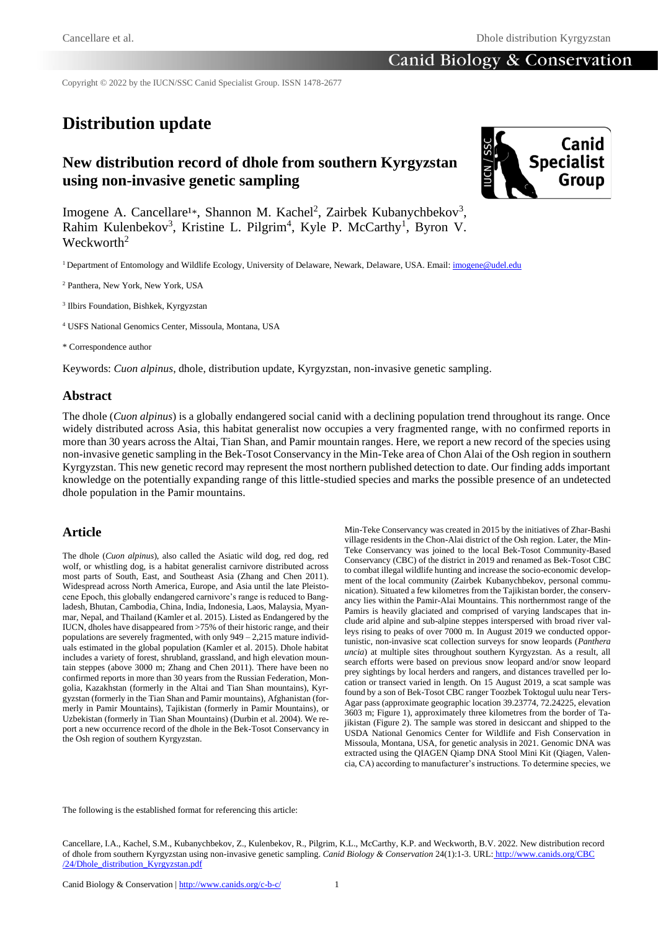Copyright © 2022 by the IUCN/SSC Canid Specialist Group. ISSN 1478-2677

# **Distribution update**

# **New distribution record of dhole from southern Kyrgyzstan using non-invasive genetic sampling**



Imogene A. Cancellare<sup>1\*</sup>, Shannon M. Kachel<sup>2</sup>, Zairbek Kubanychbekov<sup>3</sup>, Rahim Kulenbekov<sup>3</sup>, Kristine L. Pilgrim<sup>4</sup>, Kyle P. McCarthy<sup>1</sup>, Byron V. Weckworth<sup>2</sup>

<sup>1</sup> Department of Entomology and Wildlife Ecology, University of Delaware, Newark, Delaware, USA. Email[: imogene@udel.edu](mailto:imogene@udel.edu)

<sup>2</sup> Panthera, New York, New York, USA

3 Ilbirs Foundation, Bishkek, Kyrgyzstan

<sup>4</sup> USFS National Genomics Center, Missoula, Montana, USA

\* Correspondence author

Keywords: *Cuon alpinus*, dhole, distribution update, Kyrgyzstan, non-invasive genetic sampling.

#### **Abstract**

The dhole (*Cuon alpinus*) is a globally endangered social canid with a declining population trend throughout its range. Once widely distributed across Asia, this habitat generalist now occupies a very fragmented range, with no confirmed reports in more than 30 years across the Altai, Tian Shan, and Pamir mountain ranges. Here, we report a new record of the species using non-invasive genetic sampling in the Bek-Tosot Conservancy in the Min-Teke area of Chon Alai of the Osh region in southern Kyrgyzstan. This new genetic record may represent the most northern published detection to date. Our finding adds important knowledge on the potentially expanding range of this little-studied species and marks the possible presence of an undetected dhole population in the Pamir mountains.

#### **Article**

The dhole (*Cuon alpinus*), also called the Asiatic wild dog, red dog, red wolf, or whistling dog, is a habitat generalist carnivore distributed across most parts of South, East, and Southeast Asia (Zhang and Chen 2011). Widespread across North America, Europe, and Asia until the late Pleistocene Epoch, this globally endangered carnivore's range is reduced to Bangladesh, Bhutan, Cambodia, China, India, Indonesia, Laos, Malaysia, Myanmar, Nepal, and Thailand (Kamler et al. 2015). Listed as Endangered by the IUCN, dholes have disappeared from >75% of their historic range, and their populations are severely fragmented, with only 949 – 2,215 mature individuals estimated in the global population (Kamler et al. 2015). Dhole habitat includes a variety of forest, shrubland, grassland, and high elevation mountain steppes (above 3000 m; Zhang and Chen 2011). There have been no confirmed reports in more than 30 years from the Russian Federation, Mongolia, Kazakhstan (formerly in the Altai and Tian Shan mountains), Kyrgyzstan (formerly in the Tian Shan and Pamir mountains), Afghanistan (formerly in Pamir Mountains), Tajikistan (formerly in Pamir Mountains), or Uzbekistan (formerly in Tian Shan Mountains) (Durbin et al. 2004). We report a new occurrence record of the dhole in the Bek-Tosot Conservancy in the Osh region of southern Kyrgyzstan.

Min-Teke Conservancy was created in 2015 by the initiatives of Zhar-Bashi village residents in the Chon-Alai district of the Osh region. Later, the Min-Teke Conservancy was joined to the local Bek-Tosot Community-Based Conservancy (CBC) of the district in 2019 and renamed as Bek-Tosot CBC to combat illegal wildlife hunting and increase the socio-economic development of the local community (Zairbek Kubanychbekov, personal communication). Situated a few kilometres from the Tajikistan border, the conservancy lies within the Pamir-Alai Mountains. This northernmost range of the Pamirs is heavily glaciated and comprised of varying landscapes that include arid alpine and sub-alpine steppes interspersed with broad river valleys rising to peaks of over 7000 m. In August 2019 we conducted opportunistic, non-invasive scat collection surveys for snow leopards (*Panthera uncia*) at multiple sites throughout southern Kyrgyzstan. As a result, all search efforts were based on previous snow leopard and/or snow leopard prey sightings by local herders and rangers, and distances travelled per location or transect varied in length. On 15 August 2019, a scat sample was found by a son of Bek-Tosot CBC ranger Toozbek Toktogul uulu near Ters-Agar pass (approximate geographic location 39.23774, 72.24225, elevation 3603 m; Figure 1), approximately three kilometres from the border of Tajikistan (Figure 2). The sample was stored in desiccant and shipped to the USDA National Genomics Center for Wildlife and Fish Conservation in Missoula, Montana, USA, for genetic analysis in 2021. Genomic DNA was extracted using the QIAGEN Qiamp DNA Stool Mini Kit (Qiagen, Valencia, CA) according to manufacturer's instructions. To determine species, we

The following is the established format for referencing this article:

Cancellare, I.A., Kachel, S.M., Kubanychbekov, Z., Kulenbekov, R., Pilgrim, K.L., McCarthy, K.P. and Weckworth, B.V. 2022. New distribution record of dhole from southern Kyrgyzstan using non-invasive genetic sampling. *Canid Biology & Conservation* 24(1):1-3. URL: [http://www.canids.org/CBC](http://www.canids.org/CBC/24/Dhole_distribution_Kyrgyzstan.pdf) [/24/Dhole\\_distribution\\_Kyrgyzstan.pdf](http://www.canids.org/CBC/24/Dhole_distribution_Kyrgyzstan.pdf)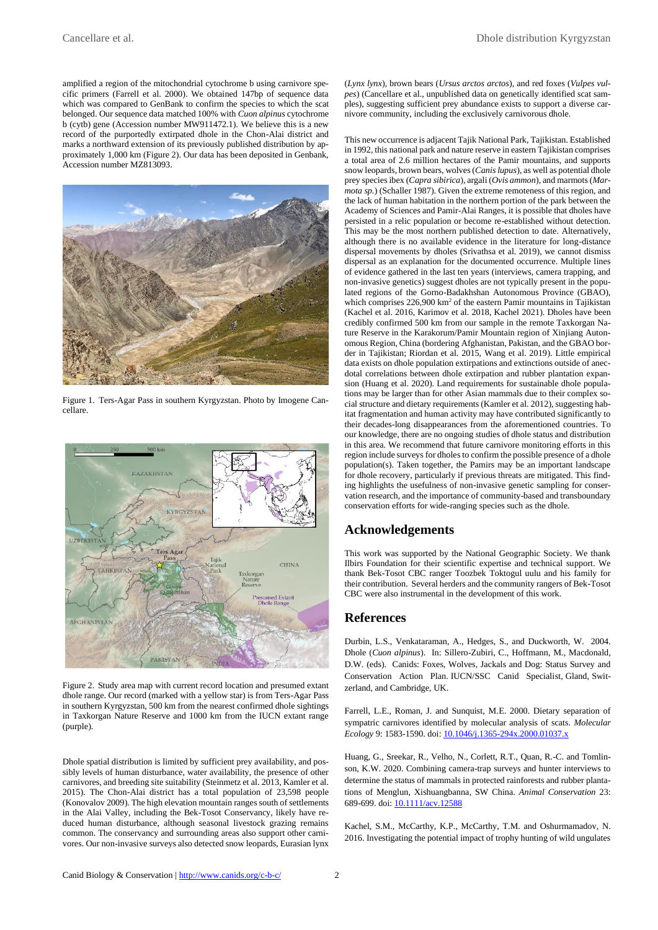amplified a region of the mitochondrial cytochrome b using carnivore specific primers (Farrell et al. 2000). We obtained 147bp of sequence data which was compared to GenBank to confirm the species to which the scat belonged. Our sequence data matched 100% with *Cuon alpinus* cytochrome b (cytb) gene (Accession number MW911472.1). We believe this is a new record of the purportedly extirpated dhole in the Chon-Alai district and marks a northward extension of its previously published distribution by approximately 1,000 km (Figure 2). Our data has been deposited in Genbank, Accession number MZ813093.



Figure 1. Ters-Agar Pass in southern Kyrgyzstan. Photo by Imogene Cancellare.



Figure 2. Study area map with current record location and presumed extant dhole range. Our record (marked with a yellow star) is from Ters-Agar Pass in southern Kyrgyzstan, 500 km from the nearest confirmed dhole sightings in Taxkorgan Nature Reserve and 1000 km from the IUCN extant range (purple).

Dhole spatial distribution is limited by sufficient prey availability, and possibly levels of human disturbance, water availability, the presence of other carnivores, and breeding site suitability (Steinmetz et al. 2013, Kamler et al. 2015). The Chon-Alai district has a total population of 23,598 people (Konovalov 2009). The high elevation mountain ranges south of settlements in the Alai Valley, including the Bek-Tosot Conservancy, likely have reduced human disturbance, although seasonal livestock grazing remains common. The conservancy and surrounding areas also support other carnivores. Our non-invasive surveys also detected snow leopards, Eurasian lynx (*Lynx lynx*), brown bears (*Ursus arctos arctos*), and red foxes (*Vulpes vulpes*) (Cancellare et al., unpublished data on genetically identified scat samples), suggesting sufficient prey abundance exists to support a diverse carnivore community, including the exclusively carnivorous dhole.

This new occurrence is adjacent Tajik National Park, Tajikistan. Established in 1992, this national park and nature reserve in eastern Tajikistan comprises a total area of 2.6 million hectares of the Pamir mountains, and supports snow leopards, brown bears, wolves (*Canis lupus*), as well as potential dhole prey species ibex (*Capra sibirica*), argali (*Ovis ammon*), and marmots (*Marmota sp.*) (Schaller 1987). Given the extreme remoteness of this region, and the lack of human habitation in the northern portion of the park between the Academy of Sciences and Pamir-Alai Ranges, it is possible that dholes have persisted in a relic population or become re-established without detection. This may be the most northern published detection to date. Alternatively, although there is no available evidence in the literature for long-distance dispersal movements by dholes (Srivathsa et al. 2019), we cannot dismiss dispersal as an explanation for the documented occurrence. Multiple lines of evidence gathered in the last ten years (interviews, camera trapping, and non-invasive genetics) suggest dholes are not typically present in the populated regions of the Gorno-Badakhshan Autonomous Province (GBAO), which comprises 226,900 km<sup>2</sup> of the eastern Pamir mountains in Tajikistan (Kachel et al. 2016, Karimov et al. 2018, Kachel 2021). Dholes have been credibly confirmed 500 km from our sample in the remote Taxkorgan Nature Reserve in the Karakorum/Pamir Mountain region of Xinjiang Autonomous Region, China (bordering Afghanistan, Pakistan, and the GBAO border in Tajikistan; Riordan et al. 2015, Wang et al. 2019). Little empirical data exists on dhole population extirpations and extinctions outside of anecdotal correlations between dhole extirpation and rubber plantation expansion (Huang et al. 2020). Land requirements for sustainable dhole populations may be larger than for other Asian mammals due to their complex social structure and dietary requirements (Kamler et al. 2012), suggesting habitat fragmentation and human activity may have contributed significantly to their decades-long disappearances from the aforementioned countries. To our knowledge, there are no ongoing studies of dhole status and distribution in this area. We recommend that future carnivore monitoring efforts in this region include surveys for dholes to confirm the possible presence of a dhole population(s). Taken together, the Pamirs may be an important landscape for dhole recovery, particularly if previous threats are mitigated. This finding highlights the usefulness of non-invasive genetic sampling for conservation research, and the importance of community-based and transboundary conservation efforts for wide-ranging species such as the dhole.

### **Acknowledgements**

This work was supported by the National Geographic Society. We thank Ilbirs Foundation for their scientific expertise and technical support. We thank Bek-Tosot CBC ranger Toozbek Toktogul uulu and his family for their contribution. Several herders and the community rangers of Bek-Tosot CBC were also instrumental in the development of this work.

#### **References**

Durbin, L.S., Venkataraman, A., Hedges, S., and Duckworth, W. 2004. Dhole (*Cuon alpinus*). In: Sillero-Zubiri, C., Hoffmann, M., Macdonald, D.W. (eds). Canids: Foxes, Wolves, Jackals and Dog: Status Survey and Conservation Action Plan. IUCN/SSC Canid Specialist, Gland, Switzerland, and Cambridge, UK.

Farrell, L.E., Roman, J. and Sunquist, M.E. 2000. Dietary separation of sympatric carnivores identified by molecular analysis of scats. *Molecular Ecology* 9: 1583-1590. doi[: 10.1046/j.1365-294x.2000.01037.x](https://doi.org/10.1046/j.1365-294x.2000.01037.x)

Huang, G., Sreekar, R., Velho, N., Corlett, R.T., Quan, R.-C. and Tomlinson, K.W. 2020. Combining camera-trap surveys and hunter interviews to determine the status of mammals in protected rainforests and rubber plantations of Menglun, Xishuangbanna, SW China. *Animal Conservation* 23: 689-699. doi: [10.1111/acv.12588](https://doi.org/10.1111/acv.12588)

Kachel, S.M., McCarthy, K.P., McCarthy, T.M. and Oshurmamadov, N. 2016. Investigating the potential impact of trophy hunting of wild ungulates